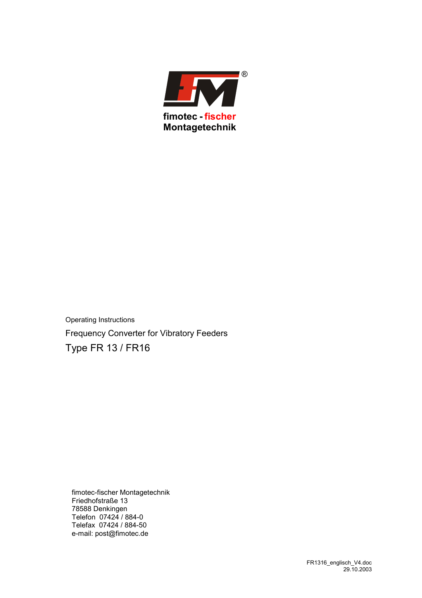

Operating Instructions Frequency Converter for Vibratory Feeders Type FR 13 / FR16

fimotec-fischer Montagetechnik Friedhofstraße 13 78588 Denkingen Telefon 07424 / 884-0 Telefax 07424 / 884-50 e-mail: post@fimotec.de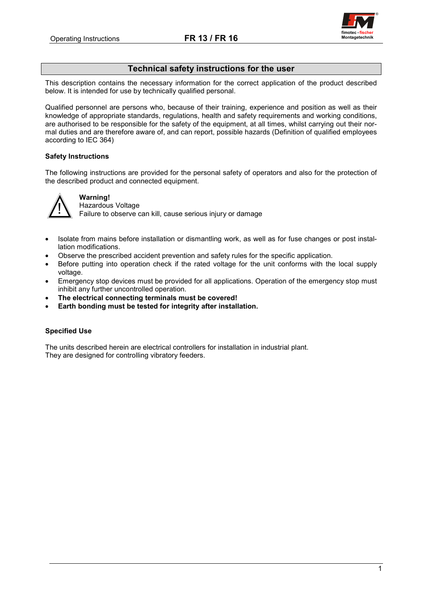

# **Technical safety instructions for the user**

This description contains the necessary information for the correct application of the product described below. It is intended for use by technically qualified personal.

Qualified personnel are persons who, because of their training, experience and position as well as their knowledge of appropriate standards, regulations, health and safety requirements and working conditions, are authorised to be responsible for the safety of the equipment, at all times, whilst carrying out their normal duties and are therefore aware of, and can report, possible hazards (Definition of qualified employees according to IEC 364)

# **Safety Instructions**

The following instructions are provided for the personal safety of operators and also for the protection of the described product and connected equipment.



# **Warning!**

Hazardous Voltage

Failure to observe can kill, cause serious injury or damage

- Isolate from mains before installation or dismantling work, as well as for fuse changes or post installation modifications.
- Observe the prescribed accident prevention and safety rules for the specific application.
- Before putting into operation check if the rated voltage for the unit conforms with the local supply voltage.
- Emergency stop devices must be provided for all applications. Operation of the emergency stop must inhibit any further uncontrolled operation.
- **The electrical connecting terminals must be covered!**
- **Earth bonding must be tested for integrity after installation.**

# **Specified Use**

The units described herein are electrical controllers for installation in industrial plant. They are designed for controlling vibratory feeders.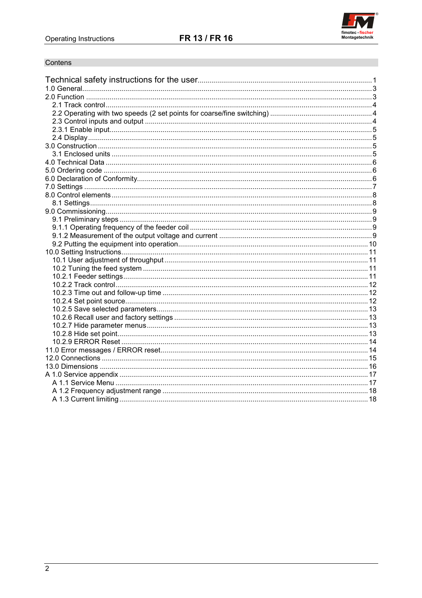

# Contens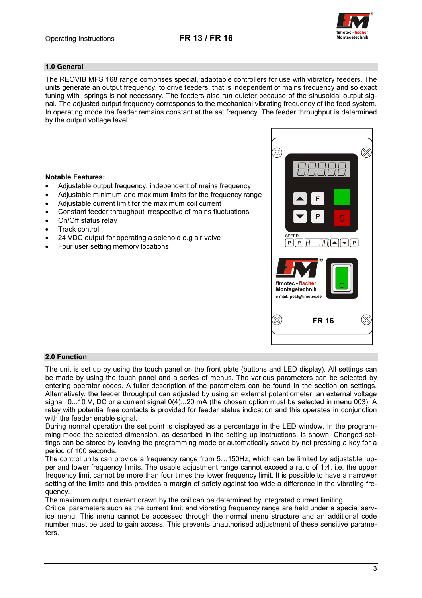

# **1.0 General**

The REOVIB MFS 168 range comprises special, adaptable controllers for use with vibratory feeders. The units generate an output frequency, to drive feeders, that is independent of mains frequency and so exact tuning with springs is not necessary. The feeders also run quieter because of the sinusoidal output signal. The adjusted output frequency corresponds to the mechanical vibrating frequency of the feed system. In operating mode the feeder remains constant at the set frequency. The feeder throughput is determined by the output voltage level.

## **Notable Features:**

- Adjustable output frequency, independent of mains frequency
- Adjustable minimum and maximum limits for the frequency range
- Adjustable current limit for the maximum coil current
- Constant feeder throughput irrespective of mains fluctuations
- On/Off status relay
- Track control
- 24 VDC output for operating a solenoid e.g air valve
- Four user setting memory locations



#### **2.0 Function**

The unit is set up by using the touch panel on the front plate (buttons and LED display). All settings can be made by using the touch panel and a series of menus. The various parameters can be selected by entering operator codes. A fuller description of the parameters can be found In the section on settings. Alternatively, the feeder throughput can adjusted by using an external potentiometer, an external voltage signal 0...10 V, DC or a current signal 0(4)...20 mA (the chosen option must be selected in menu 003). A relay with potential free contacts is provided for feeder status indication and this operates in conjunction with the feeder enable signal.

During normal operation the set point is displayed as a percentage in the LED window. In the programming mode the selected dimension, as described in the setting up instructions, is shown. Changed settings can be stored by leaving the programming mode or automatically saved by not pressing a key for a period of 100 seconds.

The control units can provide a frequency range from 5…150Hz, which can be limited by adjustable, upper and lower frequency limits. The usable adjustment range cannot exceed a ratio of 1:4, i.e. the upper frequency limit cannot be more than four times the lower frequency limit. It is possible to have a narrower setting of the limits and this provides a margin of safety against too wide a difference in the vibrating frequency.

The maximum output current drawn by the coil can be determined by integrated current limiting.

Critical parameters such as the current limit and vibrating frequency range are held under a special service menu. This menu cannot be accessed through the normal menu structure and an additional code number must be used to gain access. This prevents unauthorised adjustment of these sensitive parameters.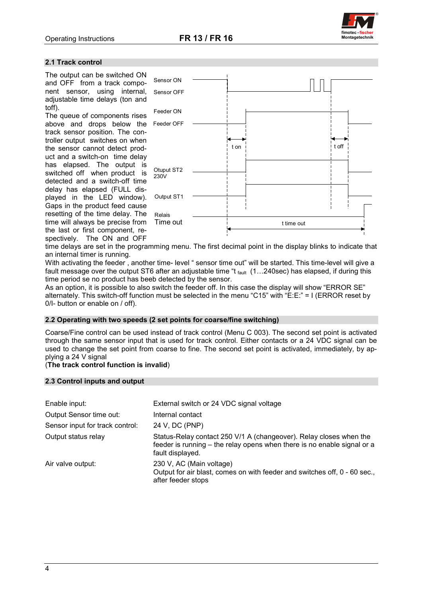

#### **2.1 Track control**

The output can be switched ON and OFF from a track component sensor, using internal, adjustable time delays (ton and toff).

The queue of components rises above and drops below the track sensor position. The controller output switches on when the sensor cannot detect product and a switch-on time delay has elapsed. The output is switched off when product is detected and a switch-off time delay has elapsed (FULL displayed in the LED window). Gaps in the product feed cause resetting of the time delay. The time will always be precise from the last or first component, respectively. The ON and OFF



time delays are set in the programming menu. The first decimal point in the display blinks to indicate that an internal timer is running.

With activating the feeder , another time- level " sensor time out" will be started. This time-level will give a fault message over the output ST6 after an adjustable time "t fault (1...240sec) has elapsed, if during this time period se no product has beeb detected by the sensor.

As an option, it is possible to also switch the feeder off. In this case the display will show "ERROR SE" alternately. This switch-off function must be selected in the menu "C15" with "E:E:" = I (ERROR reset by 0/I- button or enable on / off).

#### **2.2 Operating with two speeds (2 set points for coarse/fine switching)**

Coarse/Fine control can be used instead of track control (Menu C 003). The second set point is activated through the same sensor input that is used for track control. Either contacts or a 24 VDC signal can be used to change the set point from coarse to fine. The second set point is activated, immediately, by applying a 24 V signal

# (**The track control function is invalid**)

#### **2.3 Control inputs and output**

| Enable input:                   | External switch or 24 VDC signal voltage                                                                                                                          |
|---------------------------------|-------------------------------------------------------------------------------------------------------------------------------------------------------------------|
| Output Sensor time out:         | Internal contact                                                                                                                                                  |
| Sensor input for track control: | 24 V, DC (PNP)                                                                                                                                                    |
| Output status relay             | Status-Relay contact 250 V/1 A (changeover). Relay closes when the<br>feeder is running – the relay opens when there is no enable signal or a<br>fault displayed. |
| Air valve output:               | 230 V, AC (Main voltage)<br>Output for air blast, comes on with feeder and switches off, 0 - 60 sec.,<br>after feeder stops                                       |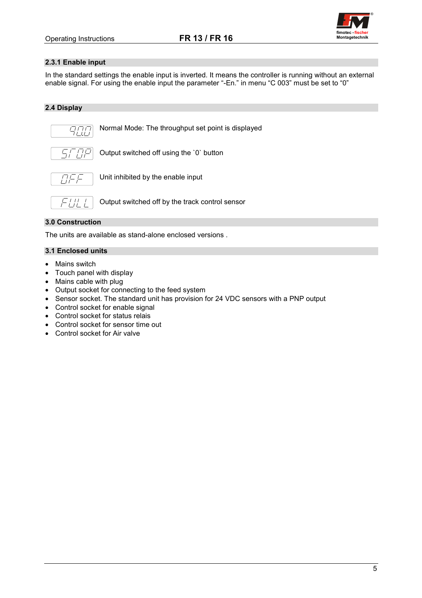

# **2.3.1 Enable input**

In the standard settings the enable input is inverted. It means the controller is running without an external enable signal. For using the enable input the parameter "-En." in menu "C 003" must be set to "0"

# **2.4 Display**



Normal Mode: The throughput set point is displayed



Output switched off using the `0` button



Unit inhibited by the enable input



Output switched off by the track control sensor

# **3.0 Construction**

The units are available as stand-alone enclosed versions .

# **3.1 Enclosed units**

- Mains switch
- Touch panel with display
- Mains cable with plug
- Output socket for connecting to the feed system
- Sensor socket. The standard unit has provision for 24 VDC sensors with a PNP output
- Control socket for enable signal
- Control socket for status relais
- Control socket for sensor time out
- Control socket for Air valve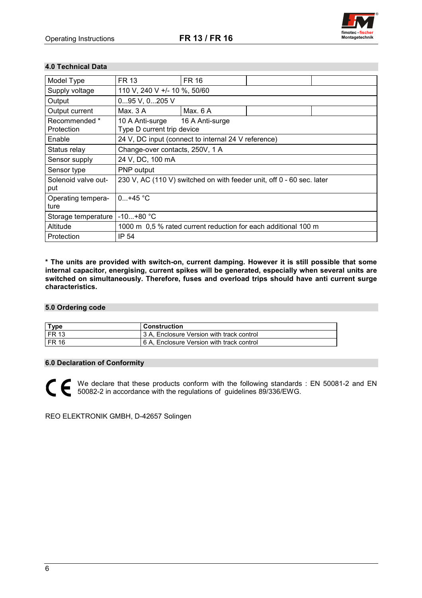

# **4.0 Technical Data**

| Model Type                  | FR 13                                                                 | <b>FR 16</b>                                                                           |  |  |  |
|-----------------------------|-----------------------------------------------------------------------|----------------------------------------------------------------------------------------|--|--|--|
| Supply voltage              | 110 V, 240 V +/- 10 %, 50/60                                          |                                                                                        |  |  |  |
| Output                      | 095 V, 0205 V                                                         |                                                                                        |  |  |  |
| Output current              | Max. 3 A                                                              | Max. 6 A                                                                               |  |  |  |
| Recommended *<br>Protection | 10 A Anti-surge<br>16 A Anti-surge<br>Type D current trip device      |                                                                                        |  |  |  |
| Enable                      |                                                                       |                                                                                        |  |  |  |
| Status relay                |                                                                       | 24 V, DC input (connect to internal 24 V reference)<br>Change-over contacts, 250V, 1 A |  |  |  |
| Sensor supply               | 24 V, DC, 100 mA                                                      |                                                                                        |  |  |  |
| Sensor type                 | PNP output                                                            |                                                                                        |  |  |  |
| Solenoid valve out-<br>put  | 230 V, AC (110 V) switched on with feeder unit, off 0 - 60 sec. later |                                                                                        |  |  |  |
| Operating tempera-<br>ture  | $0+45 °C$                                                             |                                                                                        |  |  |  |
| Storage temperature         | $-10+80 °C$                                                           |                                                                                        |  |  |  |
| Altitude                    | 1000 m 0.5 % rated current reduction for each additional 100 m        |                                                                                        |  |  |  |
| Protection                  | IP 54                                                                 |                                                                                        |  |  |  |

**\* The units are provided with switch-on, current damping. However it is still possible that some internal capacitor, energising, current spikes will be generated, especially when several units are switched on simultaneously. Therefore, fuses and overload trips should have anti current surge characteristics.**

# **5.0 Ordering code**

| <b>Type</b>      | Construction                              |
|------------------|-------------------------------------------|
| <b>FR 13</b>     | 3 A. Enclosure Version with track control |
| FR <sub>16</sub> | 6 A, Enclosure Version with track control |

## **6.0 Declaration of Conformity**

We declare that these products conform with the following standards : EN 50081-2 and EN 50082-2 in accordance with the regulations of guidelines 89/336/EWG.

REO ELEKTRONIK GMBH, D-42657 Solingen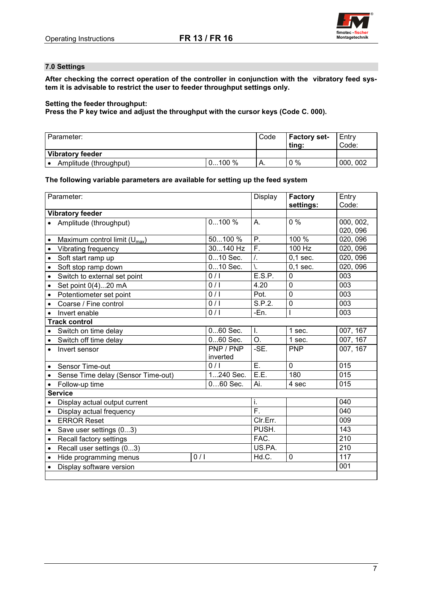

# **7.0 Settings**

**After checking the correct operation of the controller in conjunction with the vibratory feed system it is advisable to restrict the user to feeder throughput settings only.**

## **Setting the feeder throughput:**

**Press the P key twice and adjust the throughput with the cursor keys (Code C. 000).**

| Parameter:              |          | Code | <b>Factory set-</b><br>ting: | Entry<br>Code: |
|-------------------------|----------|------|------------------------------|----------------|
| <b>Vibratory feeder</b> |          |      |                              |                |
| Amplitude (throughput)  | $0100\%$ | Α.   | $0\%$                        | 000, 002       |

## **The following variable parameters are available for setting up the feed system**

| Parameter:                      |                                    | Display    | <b>Factory</b>   | Entry          |                  |
|---------------------------------|------------------------------------|------------|------------------|----------------|------------------|
|                                 | <b>Vibratory feeder</b>            |            |                  | settings:      | Code:            |
| 0100%<br>Amplitude (throughput) |                                    |            | A.               | 0%             | 000, 002,        |
|                                 |                                    |            |                  |                | 020, 096         |
| $\bullet$                       | Maximum control limit $(U_{max})$  | 50100 %    | P.               | 100 %          | 020, 096         |
| $\bullet$                       | Vibrating frequency                | 30140 Hz   | $\overline{F}$ . | 100 Hz         | 020, 096         |
| $\bullet$                       | Soft start ramp up                 | 010 Sec.   | $\mathcal{L}$    | $0,1$ sec.     | 020, 096         |
| $\bullet$                       | Soft stop ramp down                | 010 Sec.   | \.               | $0.1$ sec.     | 020, 096         |
| $\bullet$                       | Switch to external set point       | 0/1        | E.S.P.           | 0              | 003              |
| $\bullet$                       | Set point 0(4)20 mA                | 0/1        | 4.20             | $\mathbf 0$    | $\overline{003}$ |
| $\bullet$                       | Potentiometer set point            | 0/1        | Pot.             | $\overline{0}$ | 003              |
| $\bullet$                       | Coarse / Fine control              | 0/1        | S.P.2.           | $\overline{0}$ | 003              |
| $\bullet$                       | Invert enable                      | 0/1        | $-En.$           |                | 003              |
|                                 | <b>Track control</b>               |            |                  |                |                  |
|                                 | Switch on time delay               | 060 Sec.   | Τ.               | 1 sec.         | 007, 167         |
| $\bullet$                       | Switch off time delay              | 060 Sec.   | $\overline{O}$ . | 1 sec.         | 007, 167         |
| $\bullet$                       | Invert sensor                      | PNP / PNP  | -SE.             | <b>PNP</b>     | 007, 167         |
|                                 |                                    | inverted   |                  |                |                  |
|                                 | Sensor Time-out                    | 0/1        | $\overline{E}$ . | $\mathbf 0$    | 015              |
| $\bullet$                       | Sense Time delay (Sensor Time-out) | 1240 Sec.  | E.E.             | 180            | 015              |
| $\bullet$                       | Follow-up time                     | $060$ Sec. | Ai.              | 4 sec          | 015              |
|                                 | <b>Service</b>                     |            |                  |                |                  |
|                                 | Display actual output current      |            | i.               |                | 040              |
| $\bullet$                       | Display actual frequency           |            | $\overline{F}$ . |                | 040              |
| $\bullet$                       | <b>ERROR Reset</b>                 |            | Clr.Err.         |                | 009              |
| $\bullet$                       | Save user settings (03)            |            | PUSH.            |                | 143              |
| $\bullet$                       | Recall factory settings            |            | FAC.             |                | 210              |
| $\bullet$                       | Recall user settings (03)          |            | US.PA.           |                | $\overline{210}$ |
| $\bullet$                       | Hide programming menus             | 0/1        | Hd.C.            | 0              | 117              |
|                                 | Display software version           |            |                  |                | 001              |
|                                 |                                    |            |                  |                |                  |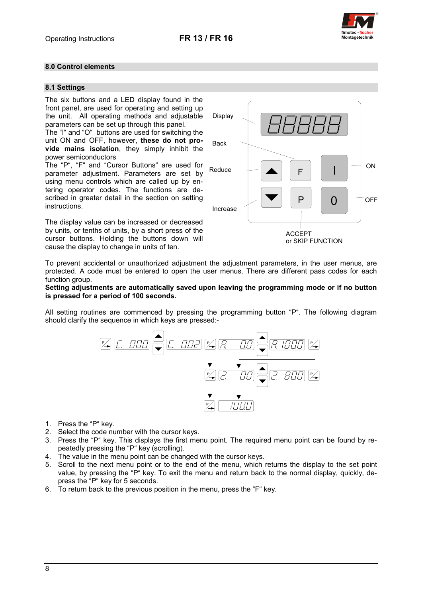

# **8.0 Control elements**

## **8.1 Settings**

The six buttons and a LED display found in the front panel, are used for operating and setting up the unit. All operating methods and adjustable parameters can be set up through this panel.

The "I" and "O" buttons are used for switching the unit ON and OFF, however, **these do not provide mains isolation**, they simply inhibit the power semiconductors

The "P", "F" and "Cursor Buttons" are used for parameter adjustment. Parameters are set by using menu controls which are called up by entering operator codes. The functions are described in greater detail in the section on setting instructions.

The display value can be increased or decreased by units, or tenths of units, by a short press of the cursor buttons. Holding the buttons down will cause the display to change in units of ten.



To prevent accidental or unauthorized adjustment the adjustment parameters, in the user menus, are protected. A code must be entered to open the user menus. There are different pass codes for each function group.

#### **Setting adjustments are automatically saved upon leaving the programming mode or if no button is pressed for a period of 100 seconds.**

All setting routines are commenced by pressing the programming button "P". The following diagram should clarify the sequence in which keys are pressed:-



- 1. Press the "P" key.
- 2. Select the code number with the cursor keys.
- 3. Press the "P" key. This displays the first menu point. The required menu point can be found by repeatedly pressing the "P" key (scrolling).
- 4. The value in the menu point can be changed with the cursor keys.
- 5. Scroll to the next menu point or to the end of the menu, which returns the display to the set point value, by pressing the "P" key. To exit the menu and return back to the normal display, quickly, depress the "P" key for 5 seconds.
- 6. To return back to the previous position in the menu, press the "F" key.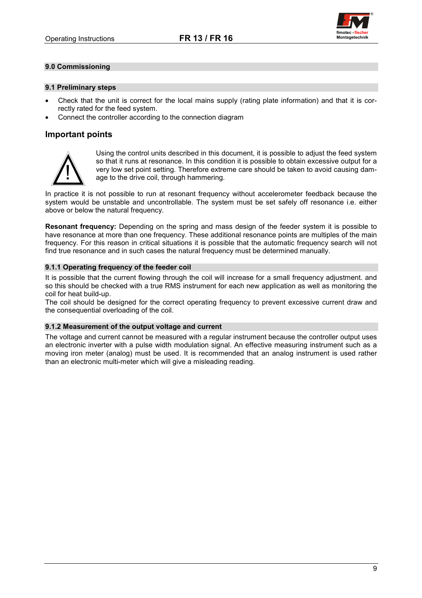

## **9.0 Commissioning**

#### **9.1 Preliminary steps**

- Check that the unit is correct for the local mains supply (rating plate information) and that it is correctly rated for the feed system.
- Connect the controller according to the connection diagram

# **Important points**



Using the control units described in this document, it is possible to adjust the feed system so that it runs at resonance. In this condition it is possible to obtain excessive output for a very low set point setting. Therefore extreme care should be taken to avoid causing damage to the drive coil, through hammering.

In practice it is not possible to run at resonant frequency without accelerometer feedback because the system would be unstable and uncontrollable. The system must be set safely off resonance i.e. either above or below the natural frequency.

**Resonant frequency:** Depending on the spring and mass design of the feeder system it is possible to have resonance at more than one frequency. These additional resonance points are multiples of the main frequency. For this reason in critical situations it is possible that the automatic frequency search will not find true resonance and in such cases the natural frequency must be determined manually.

## **9.1.1 Operating frequency of the feeder coil**

It is possible that the current flowing through the coil will increase for a small frequency adjustment. and so this should be checked with a true RMS instrument for each new application as well as monitoring the coil for heat build-up.

The coil should be designed for the correct operating frequency to prevent excessive current draw and the consequential overloading of the coil.

#### **9.1.2 Measurement of the output voltage and current**

The voltage and current cannot be measured with a regular instrument because the controller output uses an electronic inverter with a pulse width modulation signal. An effective measuring instrument such as a moving iron meter (analog) must be used. It is recommended that an analog instrument is used rather than an electronic multi-meter which will give a misleading reading.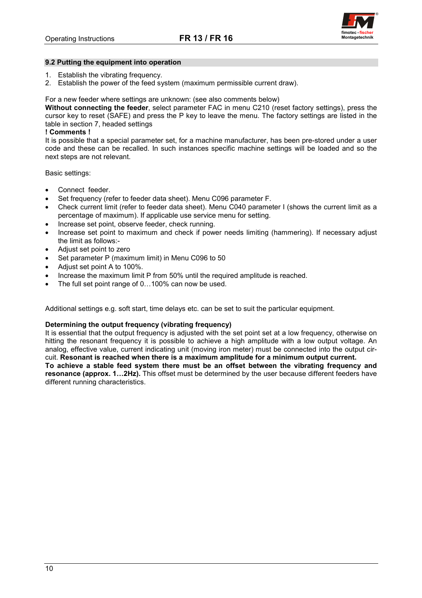

#### **9.2 Putting the equipment into operation**

- 1. Establish the vibrating frequency.
- 2. Establish the power of the feed system (maximum permissible current draw).

#### For a new feeder where settings are unknown: (see also comments below)

**Without connecting the feeder**, select parameter FAC in menu C210 (reset factory settings), press the cursor key to reset (SAFE) and press the P key to leave the menu. The factory settings are listed in the table in section 7, headed settings

## **! Comments !**

It is possible that a special parameter set, for a machine manufacturer, has been pre-stored under a user code and these can be recalled. In such instances specific machine settings will be loaded and so the next steps are not relevant.

Basic settings:

- Connect feeder.
- Set frequency (refer to feeder data sheet). Menu C096 parameter F.
- Check current limit (refer to feeder data sheet). Menu C040 parameter I (shows the current limit as a percentage of maximum). If applicable use service menu for setting.
- Increase set point, observe feeder, check running.
- Increase set point to maximum and check if power needs limiting (hammering). If necessary adjust the limit as follows:-
- Adjust set point to zero
- Set parameter P (maximum limit) in Menu C096 to 50
- Adjust set point A to 100%.
- Increase the maximum limit P from 50% until the required amplitude is reached.
- The full set point range of 0…100% can now be used.

Additional settings e.g. soft start, time delays etc. can be set to suit the particular equipment.

#### **Determining the output frequency (vibrating frequency)**

It is essential that the output frequency is adjusted with the set point set at a low frequency, otherwise on hitting the resonant frequency it is possible to achieve a high amplitude with a low output voltage. An analog, effective value, current indicating unit (moving iron meter) must be connected into the output circuit. **Resonant is reached when there is a maximum amplitude for a minimum output current.**

**To achieve a stable feed system there must be an offset between the vibrating frequency and resonance (approx. 1…2Hz).** This offset must be determined by the user because different feeders have different running characteristics.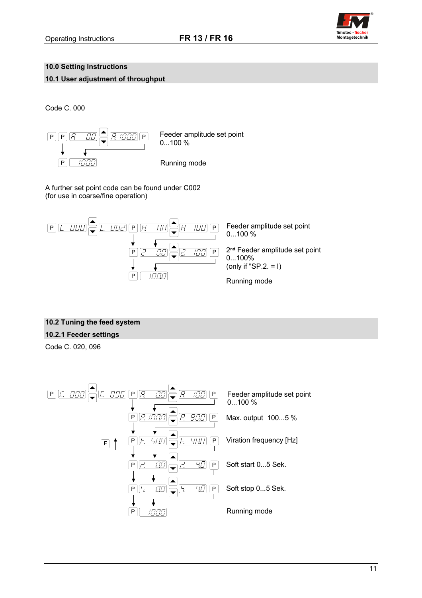

# **10.0 Setting Instructions**

**10.1 User adjustment of throughput**

Code C. 000



A further set point code can be found under C002 (for use in coarse/fine operation)



# **10.2 Tuning the feed system**

# **10.2.1 Feeder settings**

Code C. 020, 096

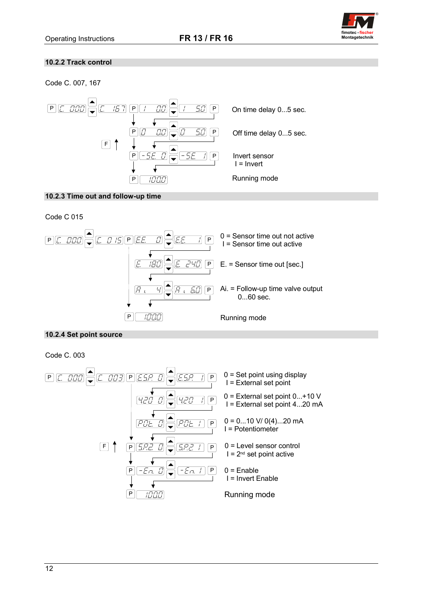

# **10.2.2 Track control**

Code C. 007, 167



# **10.2.3 Time out and follow-up time**

Code C 015



# **10.2.4 Set point source**

Code C. 003

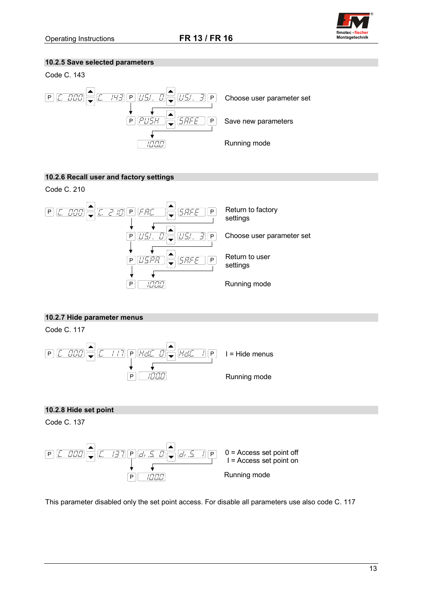

# **10.2.5 Save selected parameters**





# **10.2.6 Recall user and factory settings**

Code C. 210



# **10.2.7 Hide parameter menus**

Code C. 117



# **10.2.8 Hide set point**

Code C. 137



This parameter disabled only the set point access. For disable all parameters use also code C. 117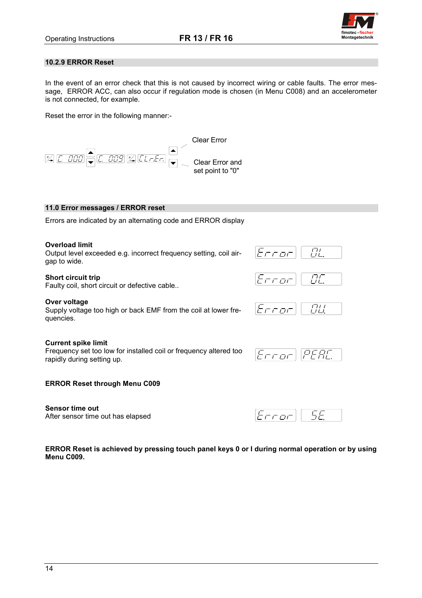

## **10.2.9 ERROR Reset**

In the event of an error check that this is not caused by incorrect wiring or cable faults. The error message, ERROR ACC, can also occur if regulation mode is chosen (in Menu C008) and an accelerometer is not connected, for example.

Reset the error in the following manner:-



## **11.0 Error messages / ERROR reset**

Errors are indicated by an alternating code and ERROR display

#### **Overload limit**

Output level exceeded e.g. incorrect frequency setting, coil airgap to wide.

#### **Short circuit trip**

Faulty coil, short circuit or defective cable..

#### **Over voltage**

**Menu C009.**

Supply voltage too high or back EMF from the coil at lower frequencies.

#### **Current spike limit**

Frequency set too low for installed coil or frequency altered too rapidly during setting up.

 $\overline{H}$ 

 $\overline{H}$ 

5F

Error

חם ח

ヒェニュー

 $E$ rror

#### **ERROR Reset through Menu C009**

**Sensor time out** After sensor time out has elapsed

**ERROR Reset is achieved by pressing touch panel keys 0 or I during normal operation or by using**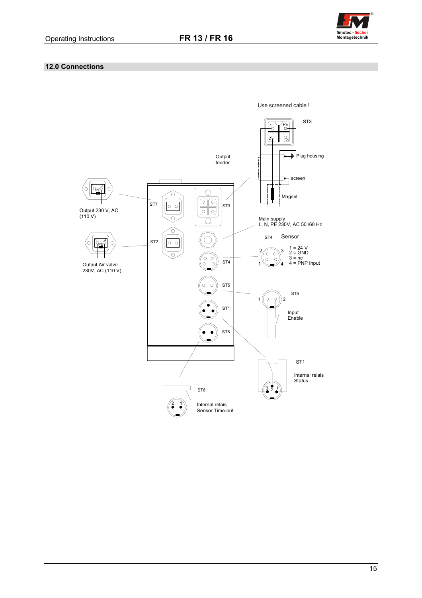

# **12.0 Connections**

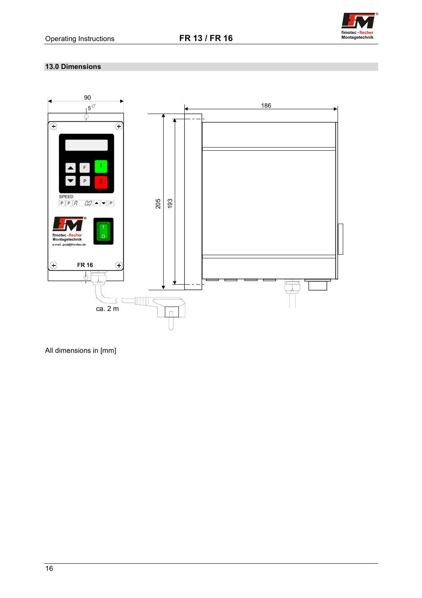

# **13.0 Dimensions**



All dimensions in [mm]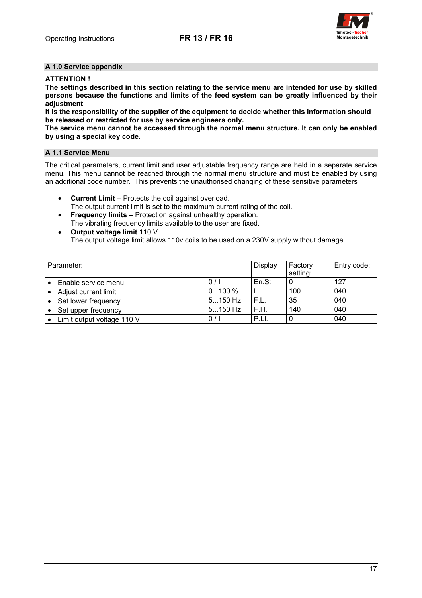

## **A 1.0 Service appendix**

## **ATTENTION !**

**The settings described in this section relating to the service menu are intended for use by skilled persons because the functions and limits of the feed system can be greatly influenced by their adjustment**

**It is the responsibility of the supplier of the equipment to decide whether this information should be released or restricted for use by service engineers only.**

**The service menu cannot be accessed through the normal menu structure. It can only be enabled by using a special key code.**

## **A 1.1 Service Menu**

The critical parameters, current limit and user adjustable frequency range are held in a separate service menu. This menu cannot be reached through the normal menu structure and must be enabled by using an additional code number. This prevents the unauthorised changing of these sensitive parameters

- **Current Limit** Protects the coil against overload.
- The output current limit is set to the maximum current rating of the coil.
- **Frequency limits** Protection against unhealthy operation. The vibrating frequency limits available to the user are fixed.
- **Output voltage limit** 110 V The output voltage limit allows 110v coils to be used on a 230V supply without damage.

| Parameter: |                            | Display   | Factory<br>setting: | Entry code: |     |
|------------|----------------------------|-----------|---------------------|-------------|-----|
|            | Enable service menu        | 0/1       | En.S.               |             | 127 |
|            | Adjust current limit       | $0100\%$  |                     | 100         | 040 |
|            | Set lower frequency        | $5150$ Hz | F.L.                | 35          | 040 |
|            | Set upper frequency        | $5150$ Hz | F.H.                | 140         | 040 |
|            | Limit output voltage 110 V | 0/1       | P.Li.               |             | 040 |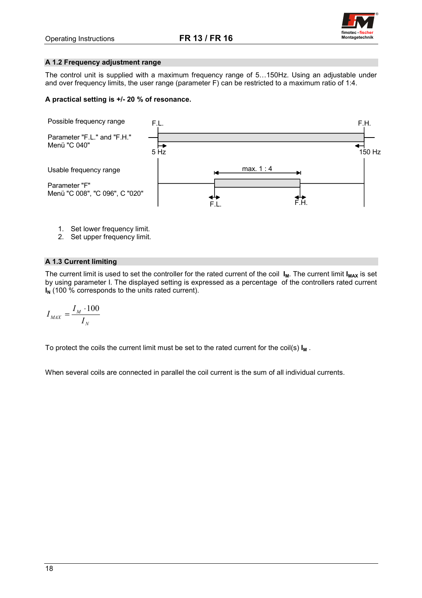

## **A 1.2 Frequency adjustment range**

The control unit is supplied with a maximum frequency range of 5…150Hz. Using an adjustable under and over frequency limits, the user range (parameter F) can be restricted to a maximum ratio of 1:4.

## **A practical setting is +/- 20 % of resonance.**



- 1. Set lower frequency limit.
- 2. Set upper frequency limit.

# **A 1.3 Current limiting**

The current limit is used to set the controller for the rated current of the coil I<sub>M</sub>. The current limit I<sub>MAX</sub> is set by using parameter I. The displayed setting is expressed as a percentage of the controllers rated current **I<sub>N</sub>** (100 % corresponds to the units rated current).

$$
I_{MAX} = \frac{I_M \cdot 100}{I_N}
$$

To protect the coils the current limit must be set to the rated current for the coil(s)  $I_M$ .

When several coils are connected in parallel the coil current is the sum of all individual currents.